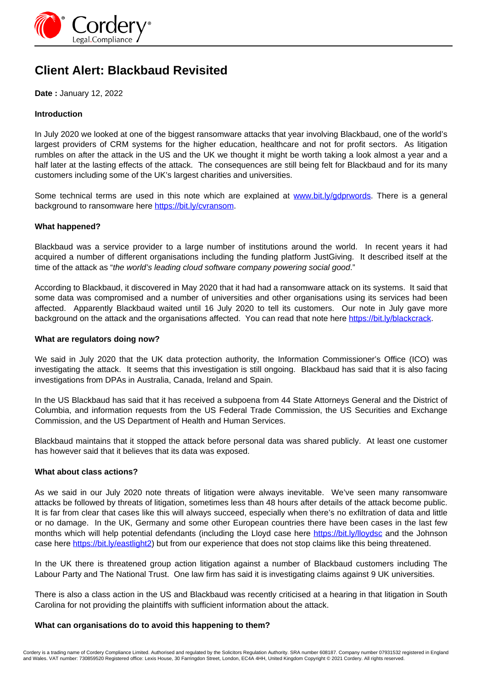

# **Client Alert: Blackbaud Revisited**

**Date :** January 12, 2022

## **Introduction**

In July 2020 we looked at one of the biggest ransomware attacks that year involving Blackbaud, one of the world's largest providers of CRM systems for the higher education, healthcare and not for profit sectors. As litigation rumbles on after the attack in the US and the UK we thought it might be worth taking a look almost a year and a half later at the lasting effects of the attack. The consequences are still being felt for Blackbaud and for its many customers including some of the UK's largest charities and universities.

Some technical terms are used in this note which are explained at [www.bit.ly/gdprwords](http://www.bit.ly/gdprwords). There is a general background to ransomware here https://bit.ly/cvransom.

### **What happened?**

Blackbaud was a service provider to a large number of institutions around the world. In recent years it had acquired a number of different organisations including the funding platform JustGiving. It described itself at the time of the attack as "the world's leading cloud software company powering social good."

According to Blackbaud, it discovered in May 2020 that it had had a ransomware attack on its systems. It said that some data was compromised and a number of universities and other organisations using its services had been affected. Apparently Blackbaud waited until 16 July 2020 to tell its customers. Our note in July gave more background on the attack and the organisations affected. You can read that note here https://bit.ly/blackcrack.

## **What are regulators doing now?**

We said in July 2020 that the UK data protection authority, the Information Commissioner's Office (ICO) was investigating the attack. It seems that this investigation is still ongoing. Blackbaud has said that it is also facing investigations from DPAs in Australia, Canada, Ireland and Spain.

In the US Blackbaud has said that it has received a subpoena from 44 State Attorneys General and the District of Columbia, and information requests from the US Federal Trade Commission, the US Securities and Exchange Commission, and the US Department of Health and Human Services.

Blackbaud maintains that it stopped the attack before personal data was shared publicly. At least one customer has however said that it believes that its data was exposed.

### **What about class actions?**

As we said in our July 2020 note threats of litigation were always inevitable. We've seen many ransomware attacks be followed by threats of litigation, sometimes less than 48 hours after details of the attack become public. It is far from clear that cases like this will always succeed, especially when there's no exfiltration of data and little or no damage. In the UK, Germany and some other European countries there have been cases in the last few months which will help potential defendants (including the Lloyd case here https://bit.ly/lloydsc and the Johnson case here https://bit.ly/eastlight2) but from our experience that does not stop claims like this being threatened.

In the UK there is threatened group action litigation against a number of Blackbaud customers including The Labour Party and The National Trust. One law firm has said it is investigating claims against 9 UK universities.

There is also a class action in the US and Blackbaud was recently criticised at a hearing in that litigation in South Carolina for not providing the plaintiffs with sufficient information about the attack.

#### **What can organisations do to avoid this happening to them?**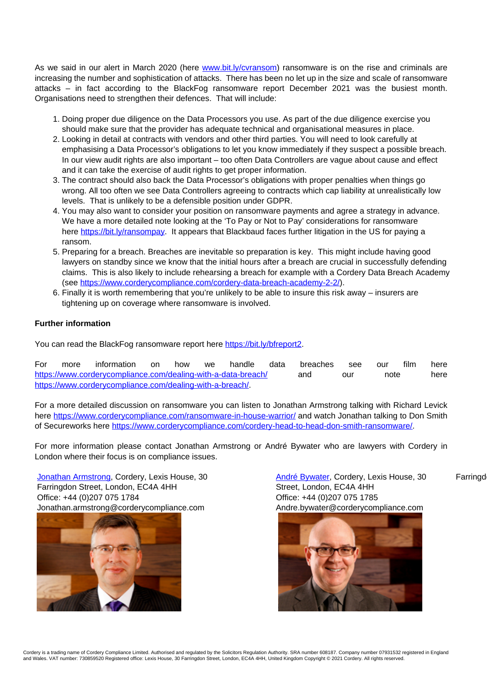As we said in our alert in March 2020 (here www.bit.ly/cvransom) ransomware is on the rise and criminals are increasing the number and sophistication of attacks. There has been no let up in the size and scale of ransomware attacks – in fact according to the BlackFog ransomware report December 2021 was the busiest month. Organisations need to strengthen their defences. That will include:

- 1. Doing proper due diligence on the Data Processors you use. As part of the due diligence exercise you should make sure that the provider has adequate technical and organisational measures in place.
- 2. Looking in detail at contracts with vendors and other third parties. You will need to look carefully at emphasising a Data Processor's obligations to let you know immediately if they suspect a possible breach. In our view audit rights are also important – too often Data Controllers are vague about cause and effect and it can take the exercise of audit rights to get proper information.
- 3. The contract should also back the Data Processor's obligations with proper penalties when things go wrong. All too often we see Data Controllers agreeing to contracts which cap liability at unrealistically low levels. That is unlikely to be a defensible position under GDPR.
- 4. You may also want to consider your position on ransomware payments and agree a strategy in advance. We have a more detailed note looking at the 'To Pay or Not to Pay' considerations for ransomware here https://bit.ly/ransompay. It appears that Blackbaud faces further litigation in the US for paying a ransom.
- 5. Preparing for a breach. Breaches are inevitable so preparation is key. This might include having good lawyers on standby since we know that the initial hours after a breach are crucial in successfully defending claims. This is also likely to include rehearsing a breach for example with a Cordery Data Breach Academy (see https://www.corderycompliance.com/cordery-data-breach-academy-2-2/).
- 6. Finally it is worth remembering that you're unlikely to be able to insure this risk away insurers are tightening up on coverage where ransomware is involved.

## **Further information**

You can read the BlackFog ransomware report here https://bit.ly/bfreport2.

For more information on how we handle data breaches see our film here https://www.corderycompliance.com/dealing-with-a-data-breach/ and our note here https://www.corderycompliance.com/dealing-with-a-breach/.

For a more detailed discussion on ransomware you can listen to Jonathan Armstrong talking with Richard Levick here https://www.corderycompliance.com/ransomware-in-house-warrior/ and watch Jonathan talking to Don Smith of Secureworks here https://www.corderycompliance.com/cordery-head-to-head-don-smith-ransomware/.

For more information please contact Jonathan Armstrong or André Bywater who are lawyers with Cordery in London where their focus is on compliance issues.

Jonathan Armstrong, Cordery, Lexis House, 30 Farringdon Street, London, EC4A 4HH Office: +44 (0)207 075 1784 Office: +44 (0)207 075 1785 Jonathan.armstrong@corderycompliance.com Andre.bywater@corderycompliance.com



André Bywater, Cordery, Lexis House, 30 Farringd Street, London, EC4A 4HH